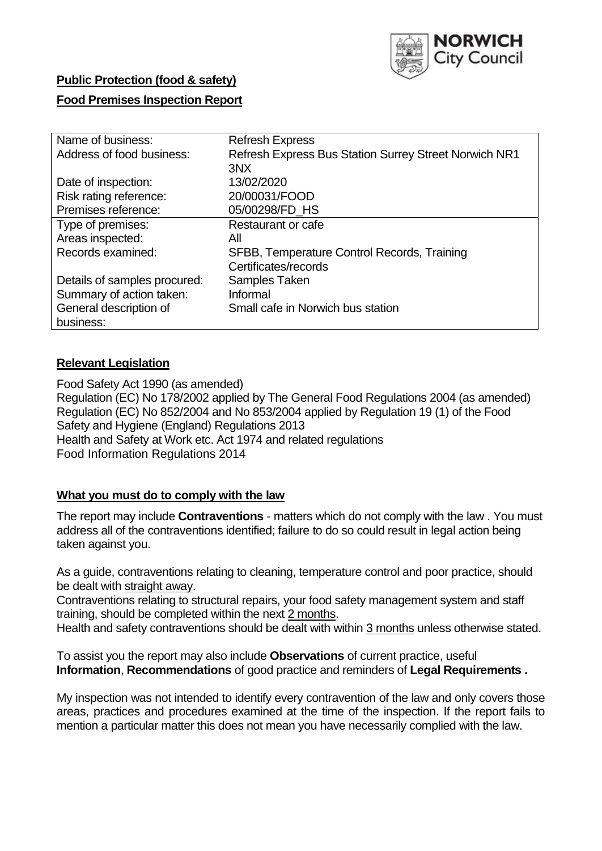

### **Public Protection (food & safety)**

### **Food Premises Inspection Report**

| Name of business:            | <b>Refresh Express</b>                                |
|------------------------------|-------------------------------------------------------|
| Address of food business:    | Refresh Express Bus Station Surrey Street Norwich NR1 |
|                              | 3NX                                                   |
| Date of inspection:          | 13/02/2020                                            |
| Risk rating reference:       | 20/00031/FOOD                                         |
| Premises reference:          | 05/00298/FD_HS                                        |
| Type of premises:            | Restaurant or cafe                                    |
| Areas inspected:             | All                                                   |
| Records examined:            | SFBB, Temperature Control Records, Training           |
|                              | Certificates/records                                  |
| Details of samples procured: | Samples Taken                                         |
| Summary of action taken:     | Informal                                              |
| General description of       | Small cafe in Norwich bus station                     |
| business:                    |                                                       |

#### **Relevant Legislation**

Food Safety Act 1990 (as amended) Regulation (EC) No 178/2002 applied by The General Food Regulations 2004 (as amended) Regulation (EC) No 852/2004 and No 853/2004 applied by Regulation 19 (1) of the Food Safety and Hygiene (England) Regulations 2013 Health and Safety at Work etc. Act 1974 and related regulations Food Information Regulations 2014

#### **What you must do to comply with the law**

The report may include **Contraventions** - matters which do not comply with the law . You must address all of the contraventions identified; failure to do so could result in legal action being taken against you.

As a guide, contraventions relating to cleaning, temperature control and poor practice, should be dealt with straight away.

Contraventions relating to structural repairs, your food safety management system and staff training, should be completed within the next 2 months.

Health and safety contraventions should be dealt with within 3 months unless otherwise stated.

To assist you the report may also include **Observations** of current practice, useful **Information**, **Recommendations** of good practice and reminders of **Legal Requirements .**

My inspection was not intended to identify every contravention of the law and only covers those areas, practices and procedures examined at the time of the inspection. If the report fails to mention a particular matter this does not mean you have necessarily complied with the law.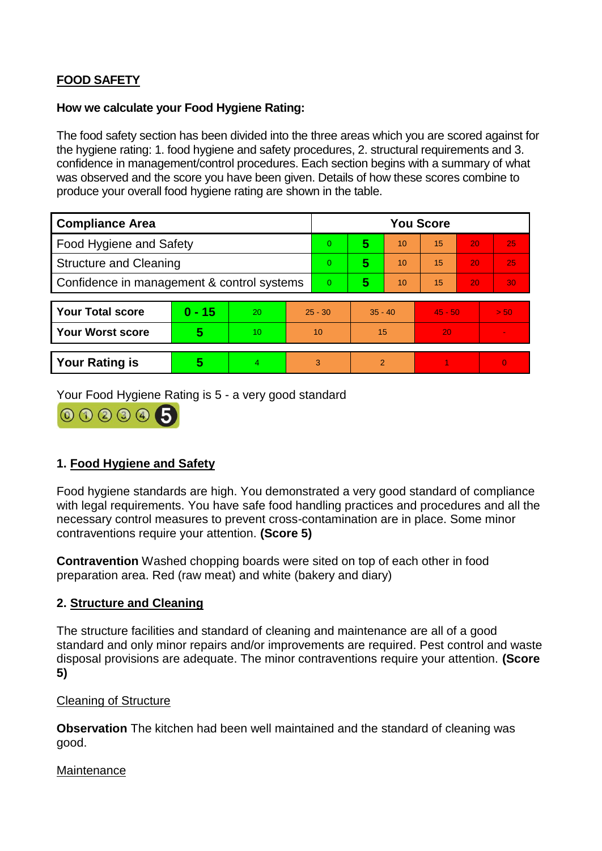# **FOOD SAFETY**

### **How we calculate your Food Hygiene Rating:**

The food safety section has been divided into the three areas which you are scored against for the hygiene rating: 1. food hygiene and safety procedures, 2. structural requirements and 3. confidence in management/control procedures. Each section begins with a summary of what was observed and the score you have been given. Details of how these scores combine to produce your overall food hygiene rating are shown in the table.

| <b>Compliance Area</b>                     |          |    |                | <b>You Score</b> |           |    |           |    |                |  |  |
|--------------------------------------------|----------|----|----------------|------------------|-----------|----|-----------|----|----------------|--|--|
| Food Hygiene and Safety                    |          |    |                | $\Omega$         | 5         | 10 | 15        | 20 | 25             |  |  |
| <b>Structure and Cleaning</b>              |          |    | $\overline{0}$ | 5                | 10        | 15 | 20        | 25 |                |  |  |
| Confidence in management & control systems |          |    | $\overline{0}$ | 5                | 10        | 15 | 20        | 30 |                |  |  |
|                                            |          |    |                |                  |           |    |           |    |                |  |  |
| <b>Your Total score</b>                    | $0 - 15$ | 20 | $25 - 30$      |                  | $35 - 40$ |    | $45 - 50$ |    | > 50           |  |  |
| Your Worst score                           | 5        | 10 | 10             |                  | 15        |    | 20        |    |                |  |  |
|                                            |          |    |                |                  |           |    |           |    |                |  |  |
| <b>Your Rating is</b>                      | 5        | 4. | 3              |                  | 2         |    |           |    | $\overline{0}$ |  |  |

Your Food Hygiene Rating is 5 - a very good standard



# **1. Food Hygiene and Safety**

Food hygiene standards are high. You demonstrated a very good standard of compliance with legal requirements. You have safe food handling practices and procedures and all the necessary control measures to prevent cross-contamination are in place. Some minor contraventions require your attention. **(Score 5)**

**Contravention** Washed chopping boards were sited on top of each other in food preparation area. Red (raw meat) and white (bakery and diary)

## **2. Structure and Cleaning**

The structure facilities and standard of cleaning and maintenance are all of a good standard and only minor repairs and/or improvements are required. Pest control and waste disposal provisions are adequate. The minor contraventions require your attention. **(Score 5)**

### Cleaning of Structure

**Observation** The kitchen had been well maintained and the standard of cleaning was good.

### **Maintenance**